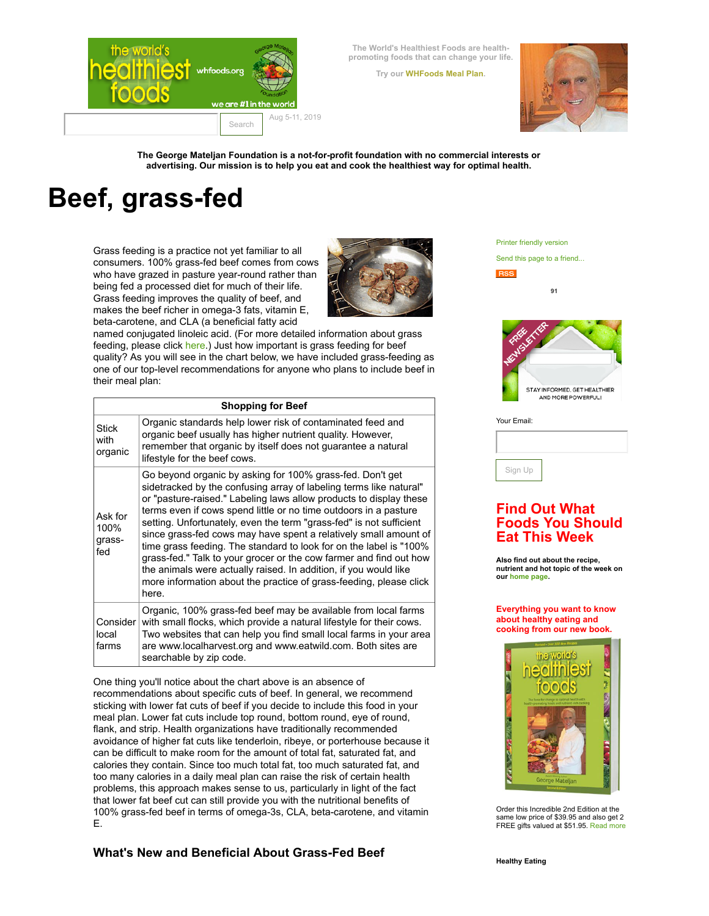

**The World's Healthiest Foods are healthpromoting foods that can change your life.**

**Try our [WHFoods](http://www.whfoods.com/7daymealplan/intro.php) Meal Plan.**



**The George Mateljan Foundation is a not-for-profit foundation with no commercial interests or advertising. Our mission is to help you eat and cook the healthiest way for optimal health.**

# **Beef, grass-fed**

Grass feeding is a practice not yet familiar to all consumers. 100% grass-fed beef comes from cows who have grazed in pasture year-round rather than being fed a processed diet for much of their life. Grass feeding improves the quality of beef, and makes the beef richer in omega-3 fats, vitamin E, beta-carotene, and CLA (a beneficial fatty acid



named conjugated linoleic acid. (For more detailed information about grass feeding, please click [here.](http://www.whfoods.com/genpage.php?tname=george&dbid=339)) Just how important is grass feeding for beef quality? As you will see in the chart below, we have included grass-feeding as one of our top-level recommendations for anyone who plans to include beef in their meal plan:

|                                  | <b>Shopping for Beef</b>                                                                                                                                                                                                                                                                                                                                                                                                                                                                                                                                                                                                                                                                                            |
|----------------------------------|---------------------------------------------------------------------------------------------------------------------------------------------------------------------------------------------------------------------------------------------------------------------------------------------------------------------------------------------------------------------------------------------------------------------------------------------------------------------------------------------------------------------------------------------------------------------------------------------------------------------------------------------------------------------------------------------------------------------|
| <b>Stick</b><br>with<br>organic  | Organic standards help lower risk of contaminated feed and<br>organic beef usually has higher nutrient quality. However,<br>remember that organic by itself does not quarantee a natural<br>lifestyle for the beef cows.                                                                                                                                                                                                                                                                                                                                                                                                                                                                                            |
| Ask for<br>100%<br>grass-<br>fed | Go beyond organic by asking for 100% grass-fed. Don't get<br>sidetracked by the confusing array of labeling terms like natural"<br>or "pasture-raised." Labeling laws allow products to display these<br>terms even if cows spend little or no time outdoors in a pasture<br>setting. Unfortunately, even the term "grass-fed" is not sufficient<br>since grass-fed cows may have spent a relatively small amount of<br>time grass feeding. The standard to look for on the label is "100%<br>grass-fed." Talk to your grocer or the cow farmer and find out how<br>the animals were actually raised. In addition, if you would like<br>more information about the practice of grass-feeding, please click<br>here. |
| Consider<br>local<br>farms       | Organic, 100% grass-fed beef may be available from local farms<br>with small flocks, which provide a natural lifestyle for their cows.<br>Two websites that can help you find small local farms in your area<br>are www.localharvest.org and www.eatwild.com. Both sites are<br>searchable by zip code.                                                                                                                                                                                                                                                                                                                                                                                                             |

One thing you'll notice about the chart above is an absence of recommendations about specific cuts of beef. In general, we recommend sticking with lower fat cuts of beef if you decide to include this food in your meal plan. Lower fat cuts include top round, bottom round, eye of round, flank, and strip. Health organizations have traditionally recommended avoidance of higher fat cuts like tenderloin, ribeye, or porterhouse because it can be difficult to make room for the amount of total fat, saturated fat, and calories they contain. Since too much total fat, too much saturated fat, and too many calories in a daily meal plan can raise the risk of certain health problems, this approach makes sense to us, particularly in light of the fact that lower fat beef cut can still provide you with the nutritional benefits of 100% grass-fed beef in terms of omega-3s, CLA, beta-carotene, and vitamin E.

**What's New and Beneficial About Grass-Fed Beef**

Printer [friendly](http://www.whfoods.com/genpage.php?pfriendly=1&tname=foodspice&dbid=141) version

Send this page to a [friend...](mailto:?subject=WHFoods%20article&body=Thought%20you%20might%20be%20interested%20in%20this%20article%20from%20WHFoods.org:%20Beef,%20grass-fed%20at%20http://whfoods.org//genpage.php?tname=foodspice%26dbid=141)

**91**





Your Email:

### **Find Out What Foods You Should Eat This Week**

**Also find out about the recipe, nutrient and hot topic of the week on our [home](http://whfoods.org/) page.**

**Everything you want to know about healthy eating and cooking from our new book.**



Order this Incredible 2nd Edition at the same low price of \$39.95 and also get 2 FREE gifts valued at \$51.95. [Read](http://www.whfoods.com/book2015/promoletter.html) more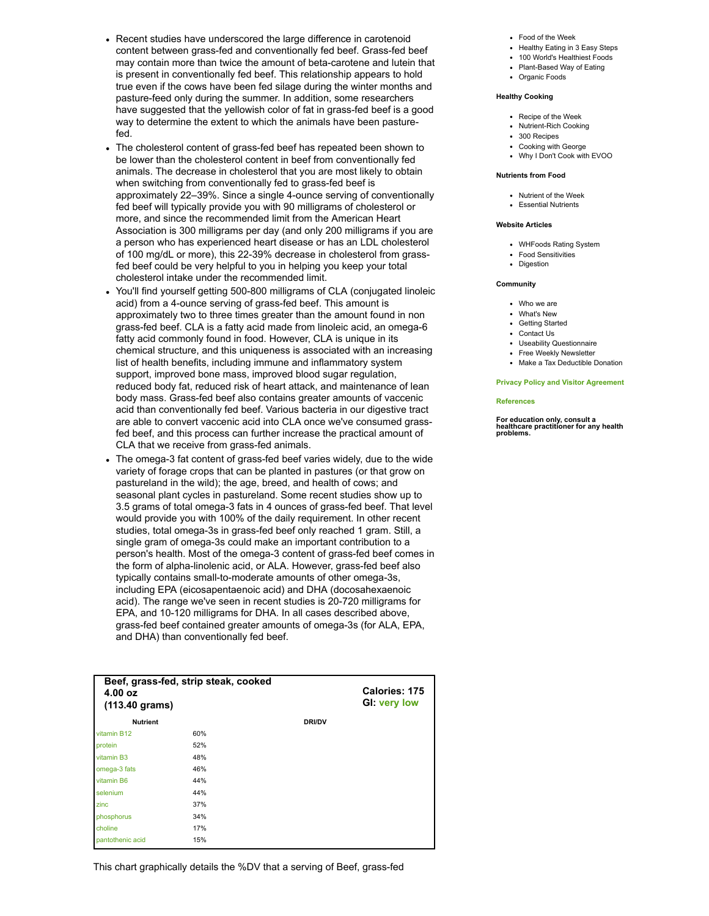- Recent studies have underscored the large difference in carotenoid content between grass-fed and conventionally fed beef. Grass-fed beef may contain more than twice the amount of beta-carotene and lutein that is present in conventionally fed beef. This relationship appears to hold true even if the cows have been fed silage during the winter months and pasture-feed only during the summer. In addition, some researchers have suggested that the yellowish color of fat in grass-fed beef is a good way to determine the extent to which the animals have been pasture $f_{\text{ad}}$
- The cholesterol content of grass-fed beef has repeated been shown to be lower than the cholesterol content in beef from conventionally fed animals. The decrease in cholesterol that you are most likely to obtain when switching from conventionally fed to grass-fed beef is approximately 22–39%. Since a single 4-ounce serving of conventionally fed beef will typically provide you with 90 milligrams of cholesterol or more, and since the recommended limit from the American Heart Association is 300 milligrams per day (and only 200 milligrams if you are a person who has experienced heart disease or has an LDL cholesterol of 100 mg/dL or more), this 22-39% decrease in cholesterol from grassfed beef could be very helpful to you in helping you keep your total cholesterol intake under the recommended limit.
- You'll find yourself getting 500-800 milligrams of CLA (conjugated linoleic acid) from a 4-ounce serving of grass-fed beef. This amount is approximately two to three times greater than the amount found in non grass-fed beef. CLA is a fatty acid made from linoleic acid, an omega-6 fatty acid commonly found in food. However, CLA is unique in its chemical structure, and this uniqueness is associated with an increasing list of health benefits, including immune and inflammatory system support, improved bone mass, improved blood sugar regulation, reduced body fat, reduced risk of heart attack, and maintenance of lean body mass. Grass-fed beef also contains greater amounts of vaccenic acid than conventionally fed beef. Various bacteria in our digestive tract are able to convert vaccenic acid into CLA once we've consumed grassfed beef, and this process can further increase the practical amount of CLA that we receive from grass-fed animals.
- The omega-3 fat content of grass-fed beef varies widely, due to the wide variety of forage crops that can be planted in pastures (or that grow on pastureland in the wild); the age, breed, and health of cows; and seasonal plant cycles in pastureland. Some recent studies show up to 3.5 grams of total omega-3 fats in 4 ounces of grass-fed beef. That level would provide you with 100% of the daily requirement. In other recent studies, total omega-3s in grass-fed beef only reached 1 gram. Still, a single gram of omega-3s could make an important contribution to a person's health. Most of the omega-3 content of grass-fed beef comes in the form of alpha-linolenic acid, or ALA. However, grass-fed beef also typically contains small-to-moderate amounts of other omega-3s, including EPA (eicosapentaenoic acid) and DHA (docosahexaenoic acid). The range we've seen in recent studies is 20-720 milligrams for EPA, and 10-120 milligrams for DHA. In all cases described above, grass-fed beef contained greater amounts of omega-3s (for ALA, EPA, and DHA) than conventionally fed beef.

| Beef, grass-fed, strip steak, cooked<br>4.00 oz<br>$(113.40 \text{ grams})$ |     |               | Calories: 175<br><b>GI: very low</b> |
|-----------------------------------------------------------------------------|-----|---------------|--------------------------------------|
| <b>Nutrient</b>                                                             |     | <b>DRI/DV</b> |                                      |
| vitamin B12                                                                 | 60% |               |                                      |
| protein                                                                     | 52% |               |                                      |
| vitamin B <sub>3</sub>                                                      | 48% |               |                                      |
| omega-3 fats                                                                | 46% |               |                                      |
| vitamin B6                                                                  | 44% |               |                                      |
| selenium                                                                    | 44% |               |                                      |
| zinc                                                                        | 37% |               |                                      |
| phosphorus                                                                  | 34% |               |                                      |
| choline                                                                     | 17% |               |                                      |
| pantothenic acid                                                            | 15% |               |                                      |

This chart graphically details the %DV that a serving of Beef, grass-fed

- Food of the [Week](http://www.whfoods.com/genpage.php?tname=foodspice&dbid=39)
- [Healthy](http://www.whfoods.com/genpage.php?tname=george&dbid=377) Eating in 3 Easy Steps
- 100 World's [Healthiest](http://www.whfoods.com/foodstoc.php) Foods [Plant-Based](http://www.whfoods.com/genpage.php?tname=george&dbid=362) Way of Eating
- [Organic](http://www.whfoods.com/genpage.php?tname=faq&dbid=46) Foods

#### **Healthy Cooking**

- [Recipe](http://www.whfoods.com/genpage.php?tname=recipe&dbid=256) of the Week
- [Nutrient-Rich](http://www.whfoods.com/genpage.php?tname=george&dbid=360) Cooking
- 300 [Recipes](http://www.whfoods.com/recipestoc.php)
- [Cooking](http://www.whfoods.com/cookingwithgeorge.php) with George
- Why I Don't Cook with [EVOO](http://www.whfoods.com/genpage.php?tname=george&dbid=56)

#### **Nutrients from Food**

- [Nutrient](http://www.whfoods.com/genpage.php?tname=nutrient&dbid=77) of the Week
- [Essential Nutrients](http://www.whfoods.com/nutrientstoc.php)

#### **Website Articles**

- [WHFoods](http://www.whfoods.com/genpage.php?tname=faq&dbid=22) Rating System
- Food [Sensitivities](http://www.whfoods.com/genpage.php?tname=faq&dbid=30)
- [Digestion](http://www.whfoods.com/genpage.php?tname=faq&dbid=16)

#### **Community**

- [Who](http://www.whfoods.com/whoweare.php) we are
- [What's](http://www.whfoods.com/whatsnew.php) New
- [Getting](http://www.whfoods.com/getstarted.php) Started
- [Contact](http://www.whfoods.com/sendinfo.php) Us
- Useability [Questionnaire](http://www.whfoods.com/usability.php)
- Free Weekly [Newsletter](http://www.whfoods.com/bulletinsignup.php)
- Make a Tax [Deductible](http://www.whfoods.com/donations.php) Donation

#### **Privacy Policy and Visitor [Agreement](http://www.whfoods.com/privdoc.php)**

#### **[References](http://www.whfoods.com/references)**

**For education only, consult <sup>a</sup> healthcare practitioner for any health problems.**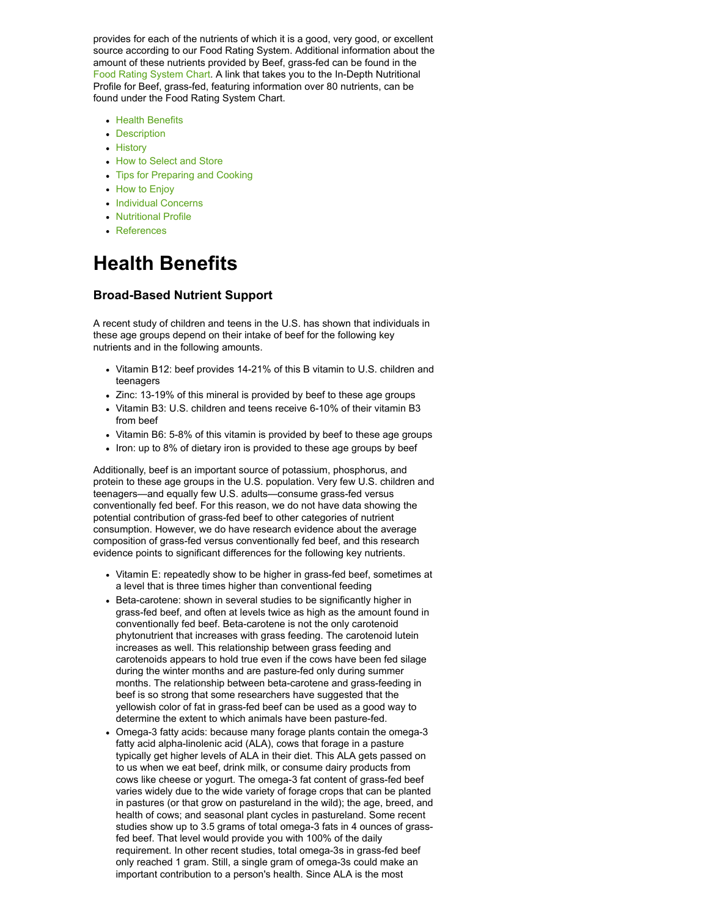provides for each of the nutrients of which it is a good, very good, or excellent source according to our Food Rating System. Additional information about the amount of these nutrients provided by Beef, grass-fed can be found in the Food Rating [System](#page-8-0) Chart. A link that takes you to the In-Depth Nutritional Profile for Beef, grass-fed, featuring information over 80 nutrients, can be found under the Food Rating System Chart.

- Health [Benefits](#page-2-0)
- [Description](#page-3-0)
- [History](#page-5-0)
- How to [Select](#page-5-1) and Store
- Tips for [Preparing](#page-6-0) and Cooking
- How to [Enjoy](#page-7-0)
- [Individual Concerns](#page-7-1)
- [Nutritional Profile](#page-8-0)
- [References](#page-13-0)

## <span id="page-2-0"></span>**Health Benefits**

#### **Broad-Based Nutrient Support**

A recent study of children and teens in the U.S. has shown that individuals in these age groups depend on their intake of beef for the following key nutrients and in the following amounts.

- Vitamin B12: beef provides 14-21% of this B vitamin to U.S. children and teenagers
- Zinc: 13-19% of this mineral is provided by beef to these age groups
- Vitamin B3: U.S. children and teens receive 6-10% of their vitamin B3 from beef
- Vitamin B6: 5-8% of this vitamin is provided by beef to these age groups
- Iron: up to 8% of dietary iron is provided to these age groups by beef

Additionally, beef is an important source of potassium, phosphorus, and protein to these age groups in the U.S. population. Very few U.S. children and teenagers—and equally few U.S. adults—consume grass-fed versus conventionally fed beef. For this reason, we do not have data showing the potential contribution of grass-fed beef to other categories of nutrient consumption. However, we do have research evidence about the average composition of grass-fed versus conventionally fed beef, and this research evidence points to significant differences for the following key nutrients.

- Vitamin E: repeatedly show to be higher in grass-fed beef, sometimes at a level that is three times higher than conventional feeding
- Beta-carotene: shown in several studies to be significantly higher in grass-fed beef, and often at levels twice as high as the amount found in conventionally fed beef. Beta-carotene is not the only carotenoid phytonutrient that increases with grass feeding. The carotenoid lutein increases as well. This relationship between grass feeding and carotenoids appears to hold true even if the cows have been fed silage during the winter months and are pasture-fed only during summer months. The relationship between beta-carotene and grass-feeding in beef is so strong that some researchers have suggested that the yellowish color of fat in grass-fed beef can be used as a good way to determine the extent to which animals have been pasture-fed.
- Omega-3 fatty acids: because many forage plants contain the omega-3 fatty acid alpha-linolenic acid (ALA), cows that forage in a pasture typically get higher levels of ALA in their diet. This ALA gets passed on to us when we eat beef, drink milk, or consume dairy products from cows like cheese or yogurt. The omega-3 fat content of grass-fed beef varies widely due to the wide variety of forage crops that can be planted in pastures (or that grow on pastureland in the wild); the age, breed, and health of cows; and seasonal plant cycles in pastureland. Some recent studies show up to 3.5 grams of total omega-3 fats in 4 ounces of grassfed beef. That level would provide you with 100% of the daily requirement. In other recent studies, total omega-3s in grass-fed beef only reached 1 gram. Still, a single gram of omega-3s could make an important contribution to a person's health. Since ALA is the most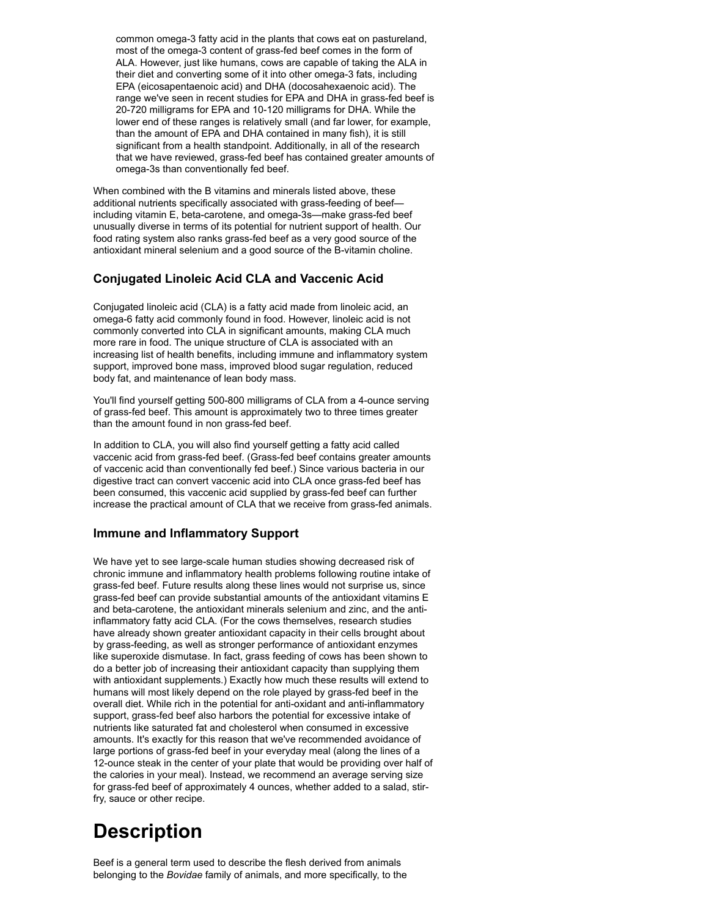common omega-3 fatty acid in the plants that cows eat on pastureland, most of the omega-3 content of grass-fed beef comes in the form of ALA. However, just like humans, cows are capable of taking the ALA in their diet and converting some of it into other omega-3 fats, including EPA (eicosapentaenoic acid) and DHA (docosahexaenoic acid). The range we've seen in recent studies for EPA and DHA in grass-fed beef is 20-720 milligrams for EPA and 10-120 milligrams for DHA. While the lower end of these ranges is relatively small (and far lower, for example, than the amount of EPA and DHA contained in many fish), it is still significant from a health standpoint. Additionally, in all of the research that we have reviewed, grass-fed beef has contained greater amounts of omega-3s than conventionally fed beef.

When combined with the B vitamins and minerals listed above, these additional nutrients specifically associated with grass-feeding of beef including vitamin E, beta-carotene, and omega-3s—make grass-fed beef unusually diverse in terms of its potential for nutrient support of health. Our food rating system also ranks grass-fed beef as a very good source of the antioxidant mineral selenium and a good source of the B-vitamin choline.

### **Conjugated Linoleic Acid CLA and Vaccenic Acid**

Conjugated linoleic acid (CLA) is a fatty acid made from linoleic acid, an omega-6 fatty acid commonly found in food. However, linoleic acid is not commonly converted into CLA in significant amounts, making CLA much more rare in food. The unique structure of CLA is associated with an increasing list of health benefits, including immune and inflammatory system support, improved bone mass, improved blood sugar regulation, reduced body fat, and maintenance of lean body mass.

You'll find yourself getting 500-800 milligrams of CLA from a 4-ounce serving of grass-fed beef. This amount is approximately two to three times greater than the amount found in non grass-fed beef.

In addition to CLA, you will also find yourself getting a fatty acid called vaccenic acid from grass-fed beef. (Grass-fed beef contains greater amounts of vaccenic acid than conventionally fed beef.) Since various bacteria in our digestive tract can convert vaccenic acid into CLA once grass-fed beef has been consumed, this vaccenic acid supplied by grass-fed beef can further increase the practical amount of CLA that we receive from grass-fed animals.

### **Immune and Inflammatory Support**

We have yet to see large-scale human studies showing decreased risk of chronic immune and inflammatory health problems following routine intake of grass-fed beef. Future results along these lines would not surprise us, since grass-fed beef can provide substantial amounts of the antioxidant vitamins E and beta-carotene, the antioxidant minerals selenium and zinc, and the antiinflammatory fatty acid CLA. (For the cows themselves, research studies have already shown greater antioxidant capacity in their cells brought about by grass-feeding, as well as stronger performance of antioxidant enzymes like superoxide dismutase. In fact, grass feeding of cows has been shown to do a better job of increasing their antioxidant capacity than supplying them with antioxidant supplements.) Exactly how much these results will extend to humans will most likely depend on the role played by grass-fed beef in the overall diet. While rich in the potential for anti-oxidant and anti-inflammatory support, grass-fed beef also harbors the potential for excessive intake of nutrients like saturated fat and cholesterol when consumed in excessive amounts. It's exactly for this reason that we've recommended avoidance of large portions of grass-fed beef in your everyday meal (along the lines of a 12-ounce steak in the center of your plate that would be providing over half of the calories in your meal). Instead, we recommend an average serving size for grass-fed beef of approximately 4 ounces, whether added to a salad, stirfry, sauce or other recipe.

## <span id="page-3-0"></span>**Description**

Beef is a general term used to describe the flesh derived from animals belonging to the *Bovidae* family of animals, and more specifically, to the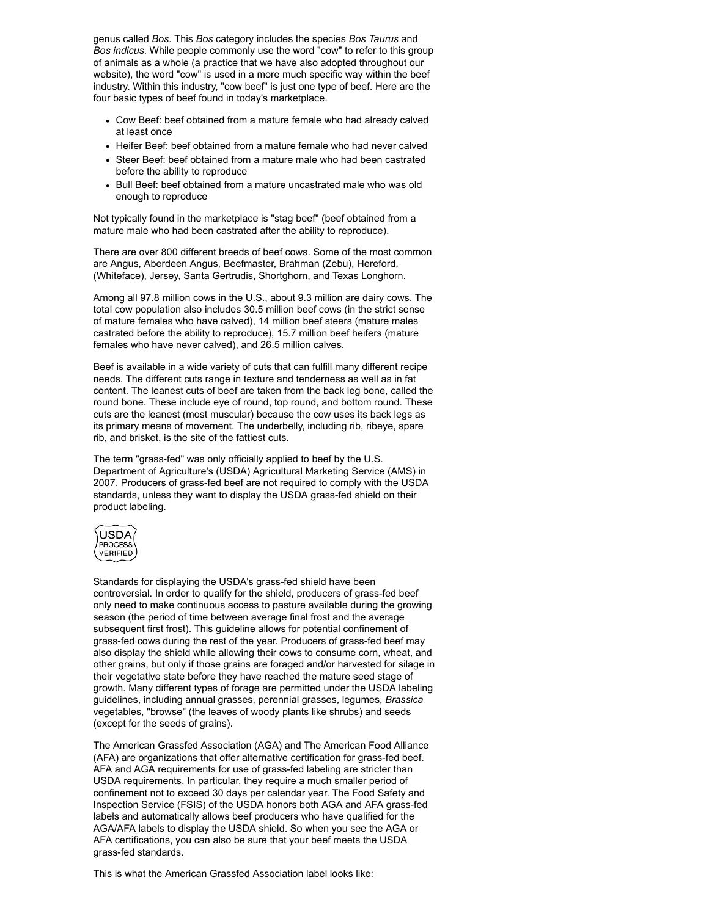genus called *Bos*. This *Bos* category includes the species *Bos Taurus* and *Bos indicus*. While people commonly use the word "cow" to refer to this group of animals as a whole (a practice that we have also adopted throughout our website), the word "cow" is used in a more much specific way within the beef industry. Within this industry, "cow beef" is just one type of beef. Here are the four basic types of beef found in today's marketplace.

- Cow Beef: beef obtained from a mature female who had already calved at least once
- Heifer Beef: beef obtained from a mature female who had never calved
- Steer Beef: beef obtained from a mature male who had been castrated before the ability to reproduce
- Bull Beef: beef obtained from a mature uncastrated male who was old enough to reproduce

Not typically found in the marketplace is "stag beef" (beef obtained from a mature male who had been castrated after the ability to reproduce).

There are over 800 different breeds of beef cows. Some of the most common are Angus, Aberdeen Angus, Beefmaster, Brahman (Zebu), Hereford, (Whiteface), Jersey, Santa Gertrudis, Shortghorn, and Texas Longhorn.

Among all 97.8 million cows in the U.S., about 9.3 million are dairy cows. The total cow population also includes 30.5 million beef cows (in the strict sense of mature females who have calved), 14 million beef steers (mature males castrated before the ability to reproduce), 15.7 million beef heifers (mature females who have never calved), and 26.5 million calves.

Beef is available in a wide variety of cuts that can fulfill many different recipe needs. The different cuts range in texture and tenderness as well as in fat content. The leanest cuts of beef are taken from the back leg bone, called the round bone. These include eye of round, top round, and bottom round. These cuts are the leanest (most muscular) because the cow uses its back legs as its primary means of movement. The underbelly, including rib, ribeye, spare rib, and brisket, is the site of the fattiest cuts.

The term "grass-fed" was only officially applied to beef by the U.S. Department of Agriculture's (USDA) Agricultural Marketing Service (AMS) in 2007. Producers of grass-fed beef are not required to comply with the USDA standards, unless they want to display the USDA grass-fed shield on their product labeling.



Standards for displaying the USDA's grass-fed shield have been controversial. In order to qualify for the shield, producers of grass-fed beef only need to make continuous access to pasture available during the growing season (the period of time between average final frost and the average subsequent first frost). This guideline allows for potential confinement of grass-fed cows during the rest of the year. Producers of grass-fed beef may also display the shield while allowing their cows to consume corn, wheat, and other grains, but only if those grains are foraged and/or harvested for silage in their vegetative state before they have reached the mature seed stage of growth. Many different types of forage are permitted under the USDA labeling guidelines, including annual grasses, perennial grasses, legumes, *Brassica* vegetables, "browse" (the leaves of woody plants like shrubs) and seeds (except for the seeds of grains).

The American Grassfed Association (AGA) and The American Food Alliance (AFA) are organizations that offer alternative certification for grass-fed beef. AFA and AGA requirements for use of grass-fed labeling are stricter than USDA requirements. In particular, they require a much smaller period of confinement not to exceed 30 days per calendar year. The Food Safety and Inspection Service (FSIS) of the USDA honors both AGA and AFA grass-fed labels and automatically allows beef producers who have qualified for the AGA/AFA labels to display the USDA shield. So when you see the AGA or AFA certifications, you can also be sure that your beef meets the USDA grass-fed standards.

This is what the American Grassfed Association label looks like: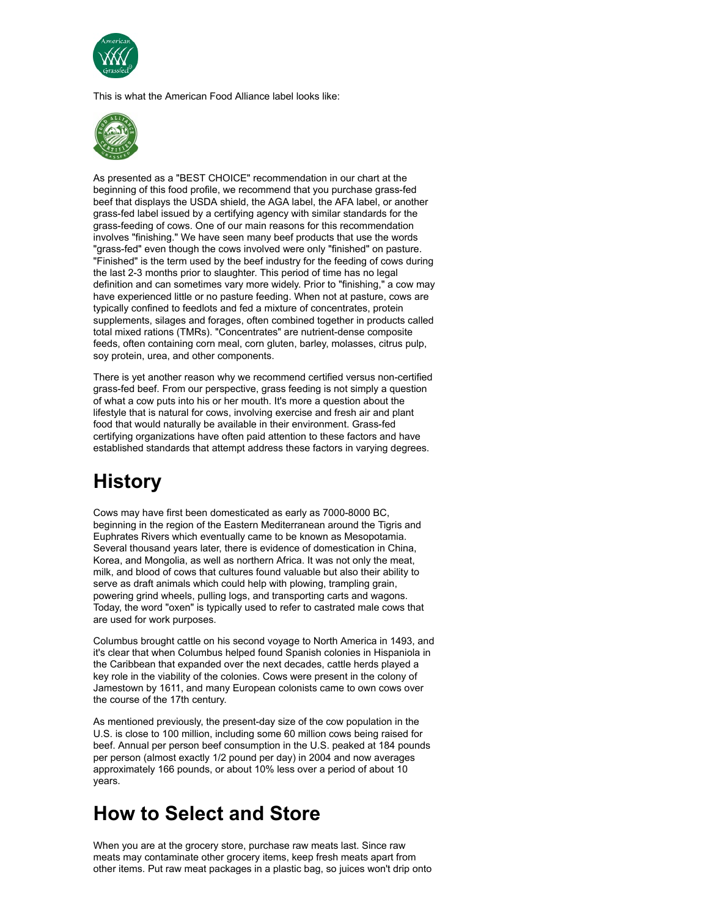

This is what the American Food Alliance label looks like:



As presented as a "BEST CHOICE" recommendation in our chart at the beginning of this food profile, we recommend that you purchase grass-fed beef that displays the USDA shield, the AGA label, the AFA label, or another grass-fed label issued by a certifying agency with similar standards for the grass-feeding of cows. One of our main reasons for this recommendation involves "finishing." We have seen many beef products that use the words "grass-fed" even though the cows involved were only "finished" on pasture. "Finished" is the term used by the beef industry for the feeding of cows during the last 2-3 months prior to slaughter. This period of time has no legal definition and can sometimes vary more widely. Prior to "finishing," a cow may have experienced little or no pasture feeding. When not at pasture, cows are typically confined to feedlots and fed a mixture of concentrates, protein supplements, silages and forages, often combined together in products called total mixed rations (TMRs). "Concentrates" are nutrient-dense composite feeds, often containing corn meal, corn gluten, barley, molasses, citrus pulp, soy protein, urea, and other components.

There is yet another reason why we recommend certified versus non-certified grass-fed beef. From our perspective, grass feeding is not simply a question of what a cow puts into his or her mouth. It's more a question about the lifestyle that is natural for cows, involving exercise and fresh air and plant food that would naturally be available in their environment. Grass-fed certifying organizations have often paid attention to these factors and have established standards that attempt address these factors in varying degrees.

## <span id="page-5-0"></span>**History**

Cows may have first been domesticated as early as 7000-8000 BC, beginning in the region of the Eastern Mediterranean around the Tigris and Euphrates Rivers which eventually came to be known as Mesopotamia. Several thousand years later, there is evidence of domestication in China, Korea, and Mongolia, as well as northern Africa. It was not only the meat, milk, and blood of cows that cultures found valuable but also their ability to serve as draft animals which could help with plowing, trampling grain, powering grind wheels, pulling logs, and transporting carts and wagons. Today, the word "oxen" is typically used to refer to castrated male cows that are used for work purposes.

Columbus brought cattle on his second voyage to North America in 1493, and it's clear that when Columbus helped found Spanish colonies in Hispaniola in the Caribbean that expanded over the next decades, cattle herds played a key role in the viability of the colonies. Cows were present in the colony of Jamestown by 1611, and many European colonists came to own cows over the course of the 17th century.

As mentioned previously, the present-day size of the cow population in the U.S. is close to 100 million, including some 60 million cows being raised for beef. Annual per person beef consumption in the U.S. peaked at 184 pounds per person (almost exactly 1/2 pound per day) in 2004 and now averages approximately 166 pounds, or about 10% less over a period of about 10 years.

## <span id="page-5-1"></span>**How to Select and Store**

When you are at the grocery store, purchase raw meats last. Since raw meats may contaminate other grocery items, keep fresh meats apart from other items. Put raw meat packages in a plastic bag, so juices won't drip onto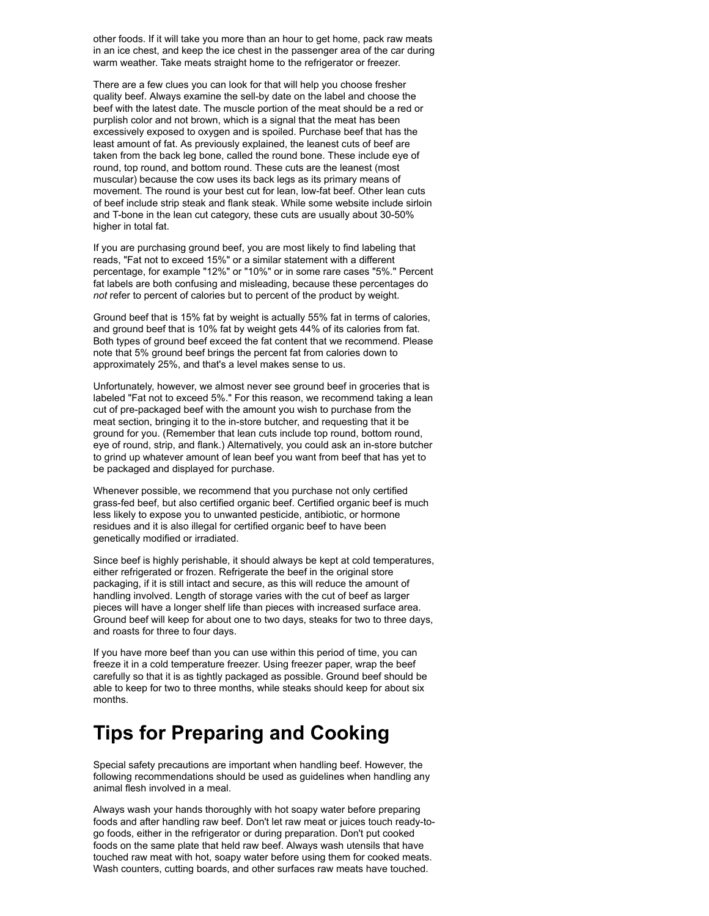other foods. If it will take you more than an hour to get home, pack raw meats in an ice chest, and keep the ice chest in the passenger area of the car during warm weather. Take meats straight home to the refrigerator or freezer.

There are a few clues you can look for that will help you choose fresher quality beef. Always examine the sell-by date on the label and choose the beef with the latest date. The muscle portion of the meat should be a red or purplish color and not brown, which is a signal that the meat has been excessively exposed to oxygen and is spoiled. Purchase beef that has the least amount of fat. As previously explained, the leanest cuts of beef are taken from the back leg bone, called the round bone. These include eye of round, top round, and bottom round. These cuts are the leanest (most muscular) because the cow uses its back legs as its primary means of movement. The round is your best cut for lean, low-fat beef. Other lean cuts of beef include strip steak and flank steak. While some website include sirloin and T-bone in the lean cut category, these cuts are usually about 30-50% higher in total fat.

If you are purchasing ground beef, you are most likely to find labeling that reads, "Fat not to exceed 15%" or a similar statement with a different percentage, for example "12%" or "10%" or in some rare cases "5%." Percent fat labels are both confusing and misleading, because these percentages do *not* refer to percent of calories but to percent of the product by weight.

Ground beef that is 15% fat by weight is actually 55% fat in terms of calories, and ground beef that is 10% fat by weight gets 44% of its calories from fat. Both types of ground beef exceed the fat content that we recommend. Please note that 5% ground beef brings the percent fat from calories down to approximately 25%, and that's a level makes sense to us.

Unfortunately, however, we almost never see ground beef in groceries that is labeled "Fat not to exceed 5%." For this reason, we recommend taking a lean cut of pre-packaged beef with the amount you wish to purchase from the meat section, bringing it to the in-store butcher, and requesting that it be ground for you. (Remember that lean cuts include top round, bottom round, eye of round, strip, and flank.) Alternatively, you could ask an in-store butcher to grind up whatever amount of lean beef you want from beef that has yet to be packaged and displayed for purchase.

Whenever possible, we recommend that you purchase not only certified grass-fed beef, but also certified organic beef. Certified organic beef is much less likely to expose you to unwanted pesticide, antibiotic, or hormone residues and it is also illegal for certified organic beef to have been genetically modified or irradiated.

Since beef is highly perishable, it should always be kept at cold temperatures, either refrigerated or frozen. Refrigerate the beef in the original store packaging, if it is still intact and secure, as this will reduce the amount of handling involved. Length of storage varies with the cut of beef as larger pieces will have a longer shelf life than pieces with increased surface area. Ground beef will keep for about one to two days, steaks for two to three days, and roasts for three to four days.

If you have more beef than you can use within this period of time, you can freeze it in a cold temperature freezer. Using freezer paper, wrap the beef carefully so that it is as tightly packaged as possible. Ground beef should be able to keep for two to three months, while steaks should keep for about six months.

### <span id="page-6-0"></span>**Tips for Preparing and Cooking**

Special safety precautions are important when handling beef. However, the following recommendations should be used as guidelines when handling any animal flesh involved in a meal.

Always wash your hands thoroughly with hot soapy water before preparing foods and after handling raw beef. Don't let raw meat or juices touch ready-togo foods, either in the refrigerator or during preparation. Don't put cooked foods on the same plate that held raw beef. Always wash utensils that have touched raw meat with hot, soapy water before using them for cooked meats. Wash counters, cutting boards, and other surfaces raw meats have touched.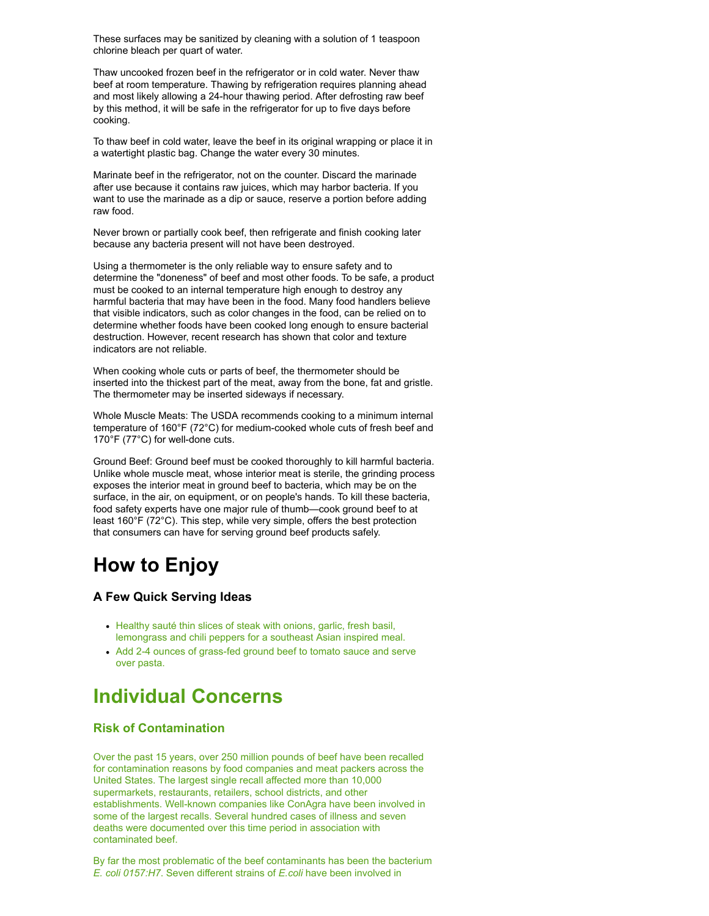These surfaces may be sanitized by cleaning with a solution of 1 teaspoon chlorine bleach per quart of water.

Thaw uncooked frozen beef in the refrigerator or in cold water. Never thaw beef at room temperature. Thawing by refrigeration requires planning ahead and most likely allowing a 24-hour thawing period. After defrosting raw beef by this method, it will be safe in the refrigerator for up to five days before cooking.

To thaw beef in cold water, leave the beef in its original wrapping or place it in a watertight plastic bag. Change the water every 30 minutes.

Marinate beef in the refrigerator, not on the counter. Discard the marinade after use because it contains raw juices, which may harbor bacteria. If you want to use the marinade as a dip or sauce, reserve a portion before adding raw food.

Never brown or partially cook beef, then refrigerate and finish cooking later because any bacteria present will not have been destroyed.

Using a thermometer is the only reliable way to ensure safety and to determine the "doneness" of beef and most other foods. To be safe, a product must be cooked to an internal temperature high enough to destroy any harmful bacteria that may have been in the food. Many food handlers believe that visible indicators, such as color changes in the food, can be relied on to determine whether foods have been cooked long enough to ensure bacterial destruction. However, recent research has shown that color and texture indicators are not reliable.

When cooking whole cuts or parts of beef, the thermometer should be inserted into the thickest part of the meat, away from the bone, fat and gristle. The thermometer may be inserted sideways if necessary.

Whole Muscle Meats: The USDA recommends cooking to a minimum internal temperature of 160°F (72°C) for medium-cooked whole cuts of fresh beef and 170°F (77°C) for well-done cuts.

Ground Beef: Ground beef must be cooked thoroughly to kill harmful bacteria. Unlike whole muscle meat, whose interior meat is sterile, the grinding process exposes the interior meat in ground beef to bacteria, which may be on the surface, in the air, on equipment, or on people's hands. To kill these bacteria, food safety experts have one major rule of thumb—cook ground beef to at least 160°F (72°C). This step, while very simple, offers the best protection that consumers can have for serving ground beef products safely.

## <span id="page-7-0"></span>**How to Enjoy**

### **A Few Quick Serving Ideas**

- [Healthy](http://www.whfoods.com/genpage.php?tname=preptip&dbid=8) sauté thin slices of steak with onions, garlic, fresh basil, lemongrass and chili peppers for a southeast Asian inspired meal.
- Add 2-4 ounces of grass-fed ground beef to tomato sauce and serve over pasta.

## <span id="page-7-1"></span>**Individual Concerns**

#### **Risk of Contamination**

Over the past 15 years, over 250 million pounds of beef have been recalled for contamination reasons by food companies and meat packers across the United States. The largest single recall affected more than 10,000 supermarkets, restaurants, retailers, school districts, and other establishments. Well-known companies like ConAgra have been involved in some of the largest recalls. Several hundred cases of illness and seven deaths were documented over this time period in association with contaminated beef.

By far the most problematic of the beef contaminants has been the bacterium *E. coli 0157:H7*. Seven different strains of *E.coli* have been involved in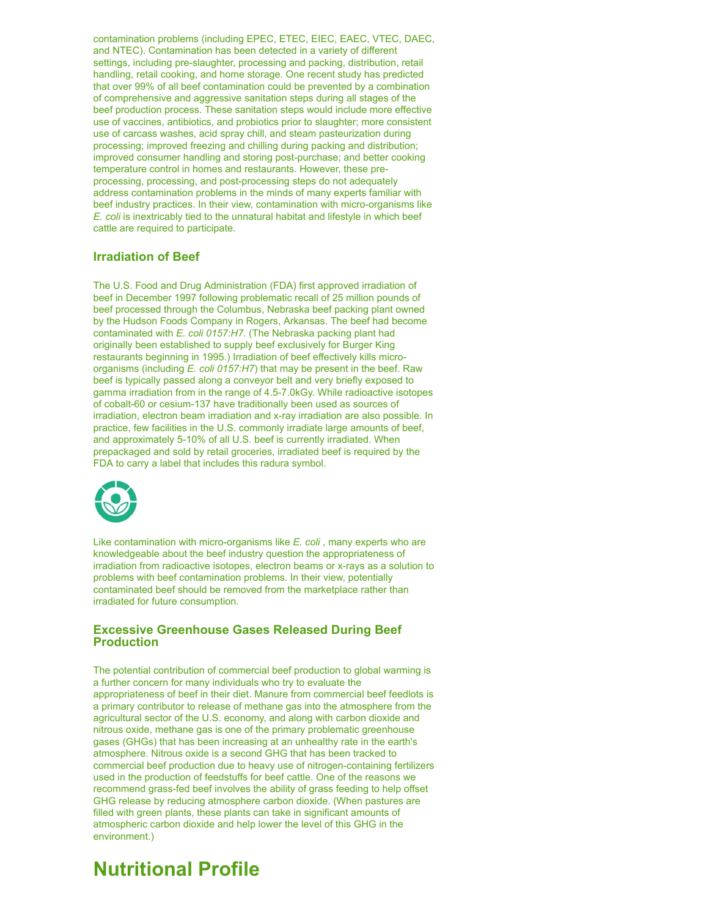contamination problems (including EPEC, ETEC, EIEC, EAEC, VTEC, DAEC, and NTEC). Contamination has been detected in a variety of different settings, including pre-slaughter, processing and packing, distribution, retail handling, retail cooking, and home storage. One recent study has predicted that over 99% of all beef contamination could be prevented by a combination of comprehensive and aggressive sanitation steps during all stages of the beef production process. These sanitation steps would include more effective use of vaccines, antibiotics, and probiotics prior to slaughter; more consistent use of carcass washes, acid spray chill, and steam pasteurization during processing; improved freezing and chilling during packing and distribution; improved consumer handling and storing post-purchase; and better cooking temperature control in homes and restaurants. However, these preprocessing, processing, and post-processing steps do not adequately address contamination problems in the minds of many experts familiar with beef industry practices. In their view, contamination with micro-organisms like *E. coli* is inextricably tied to the unnatural habitat and lifestyle in which beef cattle are required to participate.

### **Irradiation of Beef**

The U.S. Food and Drug Administration (FDA) first approved irradiation of beef in December 1997 following problematic recall of 25 million pounds of beef processed through the Columbus, Nebraska beef packing plant owned by the Hudson Foods Company in Rogers, Arkansas. The beef had become contaminated with *E. coli 0157:H7*. (The Nebraska packing plant had originally been established to supply beef exclusively for Burger King restaurants beginning in 1995.) Irradiation of beef effectively kills microorganisms (including *E. coli 0157:H7*) that may be present in the beef. Raw beef is typically passed along a conveyor belt and very briefly exposed to gamma irradiation from in the range of 4.5-7.0kGy. While radioactive isotopes of cobalt-60 or cesium-137 have traditionally been used as sources of irradiation, electron beam irradiation and x-ray irradiation are also possible. In practice, few facilities in the U.S. commonly irradiate large amounts of beef, and approximately 5-10% of all U.S. beef is currently irradiated. When prepackaged and sold by retail groceries, irradiated beef is required by the FDA to carry a label that includes this radura symbol.



Like contamination with micro-organisms like *E. coli* , many experts who are knowledgeable about the beef industry question the appropriateness of irradiation from radioactive isotopes, electron beams or x-rays as a solution to problems with beef contamination problems. In their view, potentially contaminated beef should be removed from the marketplace rather than irradiated for future consumption.

#### **Excessive Greenhouse Gases Released During Beef Production**

The potential contribution of commercial beef production to global warming is a further concern for many individuals who try to evaluate the appropriateness of beef in their diet. Manure from commercial beef feedlots is a primary contributor to release of methane gas into the atmosphere from the agricultural sector of the U.S. economy, and along with carbon dioxide and nitrous oxide, methane gas is one of the primary problematic greenhouse gases (GHGs) that has been increasing at an unhealthy rate in the earth's atmosphere. Nitrous oxide is a second GHG that has been tracked to commercial beef production due to heavy use of nitrogen-containing fertilizers used in the production of feedstuffs for beef cattle. One of the reasons we recommend grass-fed beef involves the ability of grass feeding to help offset GHG release by reducing atmosphere carbon dioxide. (When pastures are filled with green plants, these plants can take in significant amounts of atmospheric carbon dioxide and help lower the level of this GHG in the environment.)

### <span id="page-8-0"></span>**Nutritional Profile**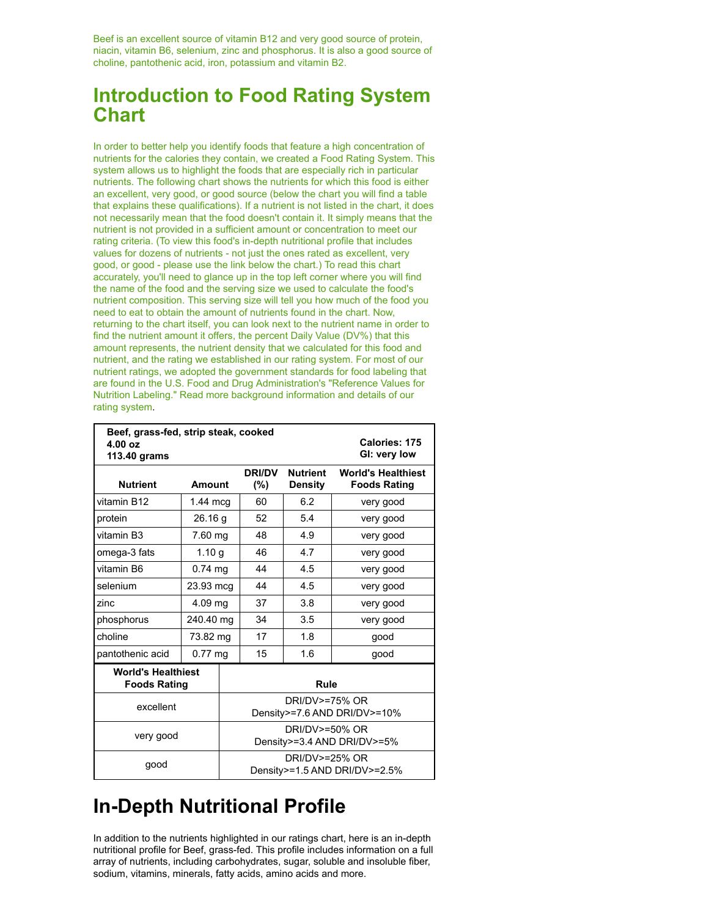Beef is an excellent source of vitamin B12 and very good source of protein, niacin, vitamin B6, selenium, zinc and phosphorus. It is also a good source of choline, pantothenic acid, iron, potassium and vitamin B2.

## **Introduction to Food Rating System Chart**

In order to better help you identify foods that feature a high concentration of nutrients for the calories they contain, we created a Food Rating System. This system allows us to highlight the foods that are especially rich in particular nutrients. The following chart shows the nutrients for which this food is either an excellent, very good, or good source (below the chart you will find a table that explains these qualifications). If a nutrient is not listed in the chart, it does not necessarily mean that the food doesn't contain it. It simply means that the nutrient is not provided in a sufficient amount or concentration to meet our rating criteria. (To view this food's in-depth nutritional profile that includes values for dozens of nutrients - not just the ones rated as excellent, very good, or good - please use the link below the chart.) To read this chart accurately, you'll need to glance up in the top left corner where you will find the name of the food and the serving size we used to calculate the food's nutrient composition. This serving size will tell you how much of the food you need to eat to obtain the amount of nutrients found in the chart. Now, returning to the chart itself, you can look next to the nutrient name in order to find the nutrient amount it offers, the percent Daily Value (DV%) that this amount represents, the nutrient density that we calculated for this food and nutrient, and the rating we established in our rating system. For most of our nutrient ratings, we adopted the government standards for food labeling that are found in the U.S. Food and Drug Administration's "Reference Values for Nutrition Labeling." Read more [background](http://www.whfoods.com/genpage.php?tname=faq&dbid=22) information and details of our rating system.

| Beef, grass-fed, strip steak, cooked<br>Calories: 175<br>4.00 oz<br>GI: very low<br>113.40 grams |                    |                                                 |                                               |                            |                                                  |  |
|--------------------------------------------------------------------------------------------------|--------------------|-------------------------------------------------|-----------------------------------------------|----------------------------|--------------------------------------------------|--|
| <b>Nutrient</b>                                                                                  | <b>Amount</b>      |                                                 | <b>DRI/DV</b><br>(%)                          | <b>Nutrient</b><br>Density | <b>World's Healthiest</b><br><b>Foods Rating</b> |  |
| vitamin B12                                                                                      | $1.44 \text{ mcq}$ |                                                 | 60                                            | 6.2                        | very good                                        |  |
| protein                                                                                          | 26.16 g            |                                                 | 52                                            | 5.4                        | very good                                        |  |
| vitamin B3                                                                                       | 7.60 mg            |                                                 | 48                                            | 4.9                        | very good                                        |  |
| omega-3 fats                                                                                     | 1.10 g             |                                                 | 46                                            | 4.7                        | very good                                        |  |
| vitamin B6                                                                                       | $0.74$ mg          |                                                 | 44                                            | 4.5                        | very good                                        |  |
| selenium                                                                                         | 23.93 mcg          |                                                 | 44                                            | 4.5                        | very good                                        |  |
| zinc                                                                                             | 4.09 mg            |                                                 | 37                                            | 3.8                        | very good                                        |  |
| phosphorus                                                                                       | 240.40 mg          |                                                 | 34                                            | 3.5                        | very good                                        |  |
| choline                                                                                          | 73.82 mg           |                                                 | 17                                            | 1.8                        | good                                             |  |
| pantothenic acid                                                                                 | $0.77$ mg          |                                                 | 15                                            | 1.6                        | qood                                             |  |
| <b>World's Healthiest</b><br><b>Foods Rating</b>                                                 |                    |                                                 | Rule                                          |                            |                                                  |  |
| excellent                                                                                        |                    | DRI/DV>=75% OR<br>Density>=7.6 AND DRI/DV>=10%  |                                               |                            |                                                  |  |
| very good                                                                                        |                    |                                                 | DRI/DV>=50% OR<br>Density>=3.4 AND DRI/DV>=5% |                            |                                                  |  |
| good                                                                                             |                    | DRI/DV>=25% OR<br>Density>=1.5 AND DRI/DV>=2.5% |                                               |                            |                                                  |  |

## **In-Depth Nutritional Profile**

In addition to the nutrients highlighted in our ratings chart, here is an in-depth nutritional profile for Beef, grass-fed. This profile includes information on a full array of nutrients, including carbohydrates, sugar, soluble and insoluble fiber, sodium, vitamins, minerals, fatty acids, amino acids and more.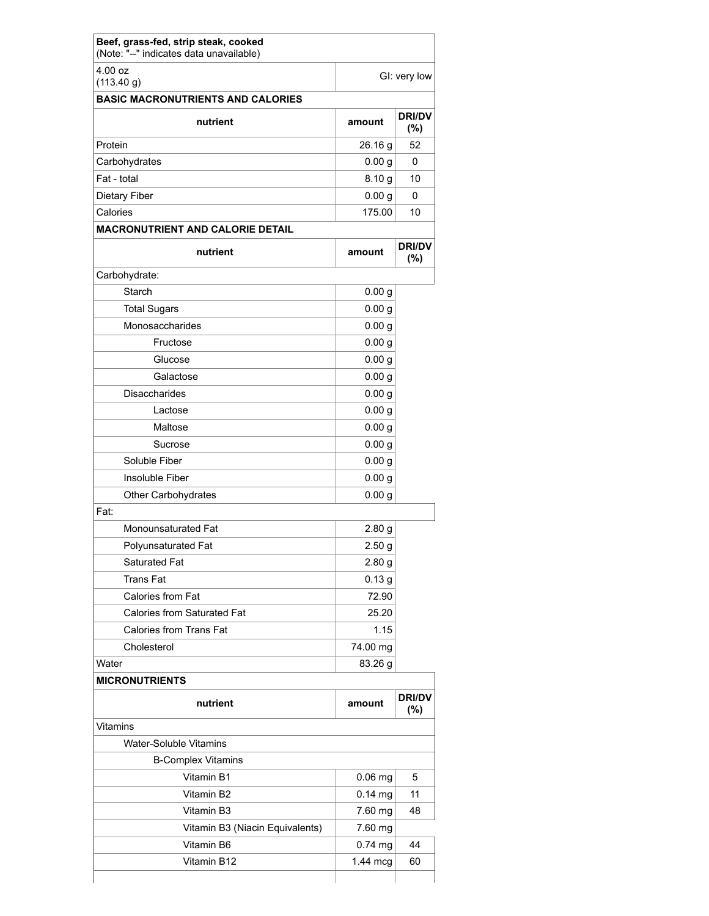| 4.00 oz                                                |                   | GI: very low            |
|--------------------------------------------------------|-------------------|-------------------------|
| (113.40 g)<br><b>BASIC MACRONUTRIENTS AND CALORIES</b> |                   |                         |
| nutrient                                               | amount            | <b>DRI/DV</b><br>$(\%)$ |
| Protein                                                | 26.16 g           | 52                      |
| Carbohydrates                                          | 0.00 <sub>g</sub> | $\Omega$                |
| Fat - total                                            | 8.10 <sub>g</sub> | 10                      |
| <b>Dietary Fiber</b>                                   | 0.00 <sub>g</sub> | $\Omega$                |
| Calories                                               | 175.00            | 10                      |
| <b>MACRONUTRIENT AND CALORIE DETAIL</b>                |                   |                         |
| nutrient                                               | amount            | <b>DRI/DV</b><br>$(\%)$ |
| Carbohydrate:                                          |                   |                         |
| Starch                                                 | 0.00 g            |                         |
| <b>Total Sugars</b>                                    | 0.00 g            |                         |
| Monosaccharides                                        | 0.00 g            |                         |
| Fructose                                               | 0.00 g            |                         |
| Glucose                                                | 0.00 g            |                         |
| Galactose                                              | 0.00 <sub>g</sub> |                         |
| <b>Disaccharides</b>                                   | 0.00 g            |                         |
| Lactose                                                | 0.00 <sub>g</sub> |                         |
| Maltose                                                | 0.00 <sub>g</sub> |                         |
| Sucrose                                                | 0.00 <sub>g</sub> |                         |
| Soluble Fiber                                          | 0.00 <sub>g</sub> |                         |
| Insoluble Fiber                                        | 0.00 g            |                         |
| Other Carbohydrates                                    | 0.00 <sub>g</sub> |                         |
| Fat:                                                   |                   |                         |
| Monounsaturated Fat                                    | 2.80 <sub>g</sub> |                         |
| Polyunsaturated Fat                                    | 2.50g             |                         |
| Saturated Fat                                          | 2.80 <sub>g</sub> |                         |
| <b>Trans Fat</b>                                       | 0.13 <sub>g</sub> |                         |
| Calories from Fat                                      | 72.90             |                         |
| <b>Calories from Saturated Fat</b>                     | 25.20             |                         |
| Calories from Trans Fat                                | 1.15              |                         |
| Cholesterol                                            | 74.00 mg          |                         |
| Water                                                  | 83.26 g           |                         |
| <b>MICRONUTRIENTS</b>                                  |                   |                         |
| nutrient                                               | amount            | <b>DRI/DV</b><br>$(\%)$ |
| Vitamins                                               |                   |                         |
| Water-Soluble Vitamins                                 |                   |                         |
| <b>B-Complex Vitamins</b>                              |                   |                         |
| Vitamin B1                                             | $0.06$ mg         | 5                       |
| Vitamin B2                                             | $0.14$ mg         | 11                      |
| Vitamin B3                                             | 7.60 mg           | 48                      |
| Vitamin B3 (Niacin Equivalents)                        | 7.60 mg           |                         |
| Vitamin B6                                             | $0.74$ mg         | 44                      |
| Vitamin B12                                            | $1.44$ mcg        | 60                      |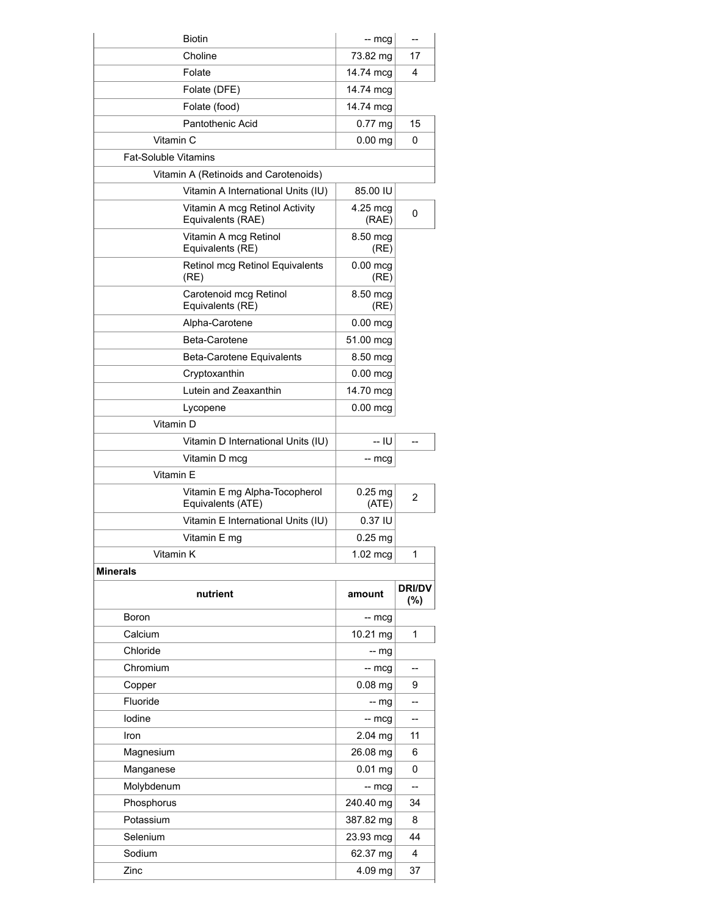| Choline<br>17<br>73.82 mg<br>Folate<br>14.74 mcg<br>4<br>Folate (DFE)<br>14.74 mcg<br>Folate (food)<br>14.74 mcg<br>Pantothenic Acid<br>$0.77$ mg<br>15<br>Vitamin C<br>$0.00$ mg<br>0<br><b>Fat-Soluble Vitamins</b><br>Vitamin A (Retinoids and Carotenoids)<br>Vitamin A International Units (IU)<br>85.00 IU<br>Vitamin A mcg Retinol Activity<br>4.25 mcg<br>0<br>Equivalents (RAE)<br>(RAE)<br>Vitamin A mcg Retinol<br>8.50 mcg<br>Equivalents (RE)<br>(RE)<br>Retinol mcg Retinol Equivalents<br>$0.00$ mcg<br>(RE)<br>(RE)<br>Carotenoid mcg Retinol<br>8.50 mcg<br>Equivalents (RE)<br>(RE) |
|-------------------------------------------------------------------------------------------------------------------------------------------------------------------------------------------------------------------------------------------------------------------------------------------------------------------------------------------------------------------------------------------------------------------------------------------------------------------------------------------------------------------------------------------------------------------------------------------------------|
|                                                                                                                                                                                                                                                                                                                                                                                                                                                                                                                                                                                                       |
|                                                                                                                                                                                                                                                                                                                                                                                                                                                                                                                                                                                                       |
|                                                                                                                                                                                                                                                                                                                                                                                                                                                                                                                                                                                                       |
|                                                                                                                                                                                                                                                                                                                                                                                                                                                                                                                                                                                                       |
|                                                                                                                                                                                                                                                                                                                                                                                                                                                                                                                                                                                                       |
|                                                                                                                                                                                                                                                                                                                                                                                                                                                                                                                                                                                                       |
|                                                                                                                                                                                                                                                                                                                                                                                                                                                                                                                                                                                                       |
|                                                                                                                                                                                                                                                                                                                                                                                                                                                                                                                                                                                                       |
|                                                                                                                                                                                                                                                                                                                                                                                                                                                                                                                                                                                                       |
|                                                                                                                                                                                                                                                                                                                                                                                                                                                                                                                                                                                                       |
|                                                                                                                                                                                                                                                                                                                                                                                                                                                                                                                                                                                                       |
|                                                                                                                                                                                                                                                                                                                                                                                                                                                                                                                                                                                                       |
|                                                                                                                                                                                                                                                                                                                                                                                                                                                                                                                                                                                                       |
| Alpha-Carotene<br>$0.00$ mcg                                                                                                                                                                                                                                                                                                                                                                                                                                                                                                                                                                          |
| Beta-Carotene<br>51.00 mcg                                                                                                                                                                                                                                                                                                                                                                                                                                                                                                                                                                            |
| Beta-Carotene Equivalents<br>8.50 mcg                                                                                                                                                                                                                                                                                                                                                                                                                                                                                                                                                                 |
| Cryptoxanthin<br>$0.00$ mcg                                                                                                                                                                                                                                                                                                                                                                                                                                                                                                                                                                           |
| Lutein and Zeaxanthin<br>14.70 mcg                                                                                                                                                                                                                                                                                                                                                                                                                                                                                                                                                                    |
| $0.00$ mcg<br>Lycopene                                                                                                                                                                                                                                                                                                                                                                                                                                                                                                                                                                                |
| Vitamin D                                                                                                                                                                                                                                                                                                                                                                                                                                                                                                                                                                                             |
| -- IU<br>Vitamin D International Units (IU)                                                                                                                                                                                                                                                                                                                                                                                                                                                                                                                                                           |
| Vitamin D mcg<br>-- mcg                                                                                                                                                                                                                                                                                                                                                                                                                                                                                                                                                                               |
| Vitamin E                                                                                                                                                                                                                                                                                                                                                                                                                                                                                                                                                                                             |
| Vitamin E mg Alpha-Tocopherol<br>$0.25$ mg<br>2<br>Equivalents (ATE)<br>(ATE)                                                                                                                                                                                                                                                                                                                                                                                                                                                                                                                         |
| Vitamin E International Units (IU)<br>0.37 IU                                                                                                                                                                                                                                                                                                                                                                                                                                                                                                                                                         |
| Vitamin E mg<br>$0.25$ mg                                                                                                                                                                                                                                                                                                                                                                                                                                                                                                                                                                             |
| Vitamin K<br>1<br>$1.02$ mcg                                                                                                                                                                                                                                                                                                                                                                                                                                                                                                                                                                          |
|                                                                                                                                                                                                                                                                                                                                                                                                                                                                                                                                                                                                       |
| <b>Minerals</b>                                                                                                                                                                                                                                                                                                                                                                                                                                                                                                                                                                                       |
| <b>DRI/DV</b><br>nutrient<br>amount<br>(%)                                                                                                                                                                                                                                                                                                                                                                                                                                                                                                                                                            |
| Boron<br>-- mcg                                                                                                                                                                                                                                                                                                                                                                                                                                                                                                                                                                                       |
| Calcium<br>1<br>$10.21$ mg                                                                                                                                                                                                                                                                                                                                                                                                                                                                                                                                                                            |
| Chloride<br>-- mg                                                                                                                                                                                                                                                                                                                                                                                                                                                                                                                                                                                     |
| Chromium<br>$-$ mcg<br>--                                                                                                                                                                                                                                                                                                                                                                                                                                                                                                                                                                             |
| Copper<br>$0.08$ mg<br>9                                                                                                                                                                                                                                                                                                                                                                                                                                                                                                                                                                              |
| Fluoride<br>$-$ mg<br>--                                                                                                                                                                                                                                                                                                                                                                                                                                                                                                                                                                              |
| lodine<br>$-$ mcg<br>$\overline{a}$                                                                                                                                                                                                                                                                                                                                                                                                                                                                                                                                                                   |
| 2.04 mg<br>Iron<br>11                                                                                                                                                                                                                                                                                                                                                                                                                                                                                                                                                                                 |
| Magnesium<br>26.08 mg<br>6                                                                                                                                                                                                                                                                                                                                                                                                                                                                                                                                                                            |
| $0.01$ mg<br>Manganese<br>0                                                                                                                                                                                                                                                                                                                                                                                                                                                                                                                                                                           |
| Molybdenum<br>$-$ mcg                                                                                                                                                                                                                                                                                                                                                                                                                                                                                                                                                                                 |
| 240.40 mg<br>Phosphorus<br>34                                                                                                                                                                                                                                                                                                                                                                                                                                                                                                                                                                         |
| Potassium<br>387.82 mg<br>8                                                                                                                                                                                                                                                                                                                                                                                                                                                                                                                                                                           |
| Selenium<br>44<br>23.93 mcg                                                                                                                                                                                                                                                                                                                                                                                                                                                                                                                                                                           |
| Sodium<br>62.37 mg<br>4                                                                                                                                                                                                                                                                                                                                                                                                                                                                                                                                                                               |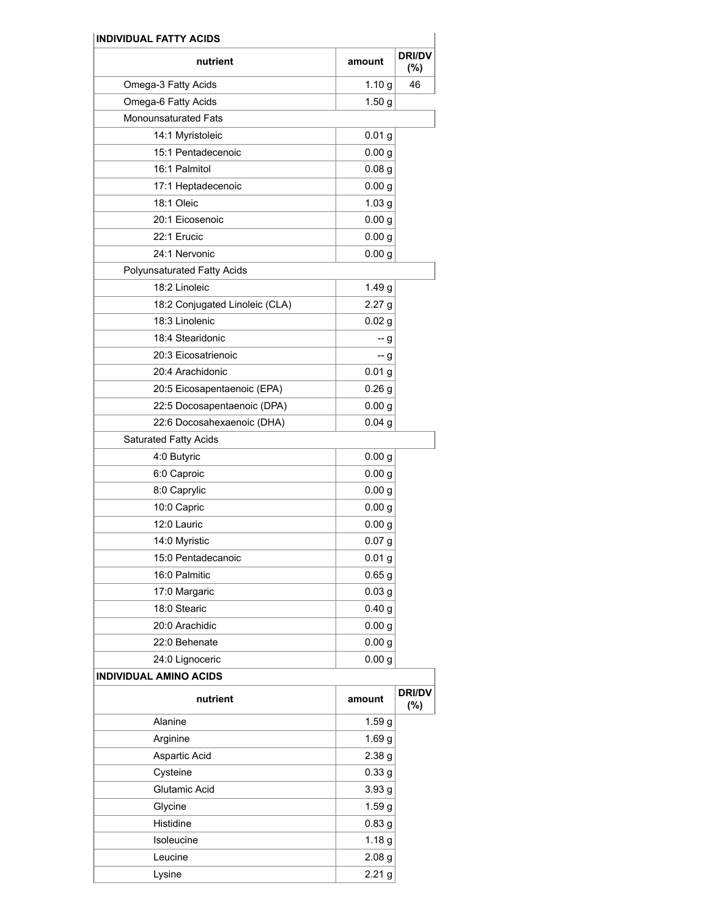| nutrient                       | amount            | <b>DRI/DV</b><br>$(\%)$ |
|--------------------------------|-------------------|-------------------------|
| Omega-3 Fatty Acids            | 1.10 <sub>g</sub> | 46                      |
| Omega-6 Fatty Acids            | 1.50 g            |                         |
| <b>Monounsaturated Fats</b>    |                   |                         |
| 14:1 Myristoleic               | 0.01 <sub>g</sub> |                         |
| 15:1 Pentadecenoic             | 0.00 <sub>g</sub> |                         |
| 16:1 Palmitol                  | 0.08 <sub>g</sub> |                         |
| 17:1 Heptadecenoic             | 0.00 <sub>g</sub> |                         |
| 18:1 Oleic                     | 1.03 <sub>g</sub> |                         |
| 20:1 Eicosenoic                | 0.00 <sub>g</sub> |                         |
| 22:1 Erucic                    | 0.00 <sub>g</sub> |                         |
| 24:1 Nervonic                  | 0.00 <sub>g</sub> |                         |
| Polyunsaturated Fatty Acids    |                   |                         |
| 18:2 Linoleic                  | 1.49 <sub>g</sub> |                         |
| 18:2 Conjugated Linoleic (CLA) | 2.27 <sub>g</sub> |                         |
| 18:3 Linolenic                 | 0.02 <sub>g</sub> |                         |
| 18:4 Stearidonic               | -- g              |                         |
| 20:3 Eicosatrienoic            | -- g              |                         |
| 20:4 Arachidonic               | 0.01 <sub>g</sub> |                         |
| 20:5 Eicosapentaenoic (EPA)    | 0.26 <sub>g</sub> |                         |
| 22:5 Docosapentaenoic (DPA)    | 0.00 g            |                         |
| 22:6 Docosahexaenoic (DHA)     | 0.04 <sub>g</sub> |                         |
| <b>Saturated Fatty Acids</b>   |                   |                         |
| 4:0 Butyric                    | 0.00 <sub>g</sub> |                         |
| 6:0 Caproic                    | 0.00 <sub>g</sub> |                         |
| 8:0 Caprylic                   | 0.00 <sub>g</sub> |                         |
| 10:0 Capric                    | 0.00 <sub>g</sub> |                         |
| 12:0 Lauric                    | 0.00 g            |                         |
| 14:0 Myristic                  | 0.07 g            |                         |
| 15:0 Pentadecanoic             | 0.01 <sub>g</sub> |                         |
| 16:0 Palmitic                  | 0.65 <sub>g</sub> |                         |
| 17:0 Margaric                  | 0.03 <sub>g</sub> |                         |
| 18:0 Stearic                   | 0.40 <sub>g</sub> |                         |
| 20:0 Arachidic                 | 0.00 <sub>g</sub> |                         |
| 22:0 Behenate                  | 0.00 <sub>g</sub> |                         |
| 24:0 Lignoceric                | 0.00 <sub>g</sub> |                         |
| <b>INDIVIDUAL AMINO ACIDS</b>  |                   |                         |
| nutrient                       | amount            | <b>DRI/DV</b><br>$(\%)$ |
| Alanine                        | 1.59 <sub>g</sub> |                         |
| Arginine                       | 1.69 <sub>g</sub> |                         |
| Aspartic Acid                  | 2.38 g            |                         |
| Cysteine                       | 0.33 <sub>g</sub> |                         |
| Glutamic Acid                  | 3.93 <sub>g</sub> |                         |
| Glycine                        | 1.59 <sub>g</sub> |                         |
| Histidine                      | 0.83 <sub>g</sub> |                         |
| Isoleucine                     | 1.18 <sub>g</sub> |                         |
| Leucine                        | 2.08 <sub>g</sub> |                         |
| Lysine                         | 2.21 <sub>g</sub> |                         |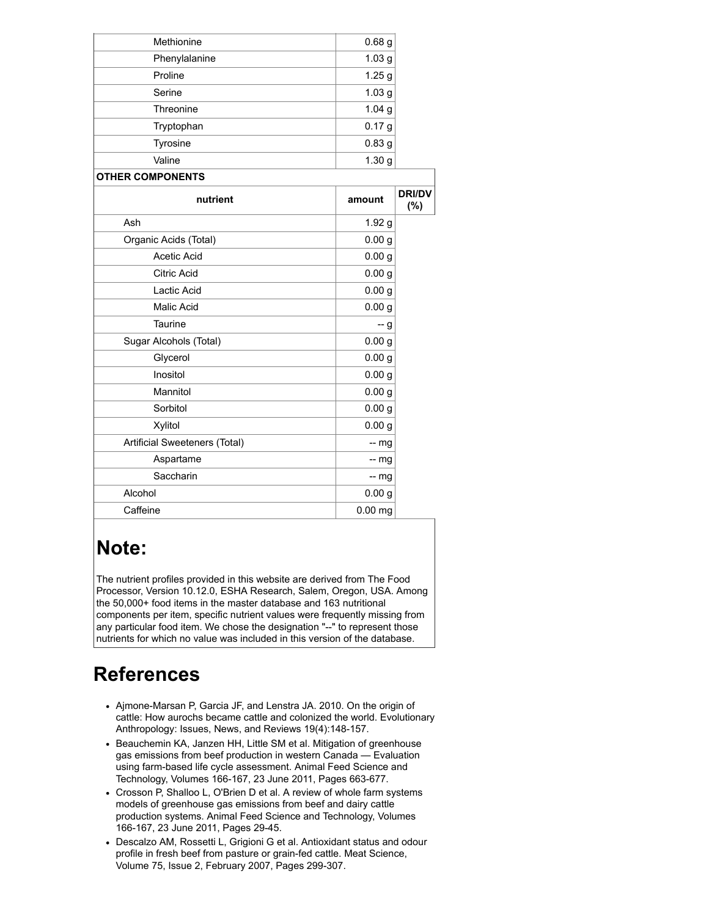| Methionine                    | 0.68 <sub>g</sub> |                      |
|-------------------------------|-------------------|----------------------|
| Phenylalanine                 | 1.03 <sub>g</sub> |                      |
| Proline                       | 1.25 <sub>g</sub> |                      |
| Serine                        | 1.03 <sub>g</sub> |                      |
| Threonine                     | 1.04 <sub>g</sub> |                      |
| Tryptophan                    | 0.17 <sub>g</sub> |                      |
| Tyrosine                      | 0.83 <sub>g</sub> |                      |
| Valine                        | 1.30 <sub>g</sub> |                      |
| <b>OTHER COMPONENTS</b>       |                   |                      |
| nutrient                      | amount            | <b>DRI/DV</b><br>(%) |
| Ash                           | 1.92 <sub>g</sub> |                      |
| Organic Acids (Total)         | 0.00 <sub>g</sub> |                      |
| Acetic Acid                   | 0.00 <sub>g</sub> |                      |
| <b>Citric Acid</b>            | 0.00 <sub>g</sub> |                      |
| Lactic Acid                   | 0.00 <sub>g</sub> |                      |
| <b>Malic Acid</b>             | 0.00 <sub>g</sub> |                      |
| Taurine                       | -- g              |                      |
| Sugar Alcohols (Total)        | 0.00 <sub>g</sub> |                      |
| Glycerol                      | 0.00 <sub>g</sub> |                      |
| Inositol                      | 0.00 <sub>g</sub> |                      |
| Mannitol                      | 0.00 <sub>g</sub> |                      |
| Sorbitol                      | 0.00 <sub>g</sub> |                      |
| Xylitol                       | 0.00 <sub>g</sub> |                      |
| Artificial Sweeteners (Total) | $-$ mg            |                      |
| Aspartame                     | $-$ mg            |                      |
| Saccharin                     | $-$ mg            |                      |
| Alcohol                       | 0.00 <sub>g</sub> |                      |
| Caffeine                      | $0.00$ mg         |                      |

## <span id="page-13-1"></span>**Note:**

The nutrient profiles provided in this website are derived from The Food Processor, Version 10.12.0, ESHA Research, Salem, Oregon, USA. Among the 50,000+ food items in the master database and 163 nutritional components per item, specific nutrient values were frequently missing from any particular food item. We chose the designation "--" to represent those nutrients for which no value was included in this version of the database.

## <span id="page-13-0"></span>**References**

- Ajmone-Marsan P, Garcia JF, and Lenstra JA. 2010. On the origin of cattle: How aurochs became cattle and colonized the world. Evolutionary Anthropology: Issues, News, and Reviews 19(4):148-157.
- Beauchemin KA, Janzen HH, Little SM et al. Mitigation of greenhouse gas emissions from beef production in western Canada — Evaluation using farm-based life cycle assessment. Animal Feed Science and Technology, Volumes 166-167, 23 June 2011, Pages 663-677.
- Crosson P, Shalloo L, O'Brien D et al. A review of whole farm systems models of greenhouse gas emissions from beef and dairy cattle production systems. Animal Feed Science and Technology, Volumes 166-167, 23 June 2011, Pages 29-45.
- Descalzo AM, Rossetti L, Grigioni G et al. Antioxidant status and odour profile in fresh beef from pasture or grain-fed cattle. Meat Science, Volume 75, Issue 2, February 2007, Pages 299-307.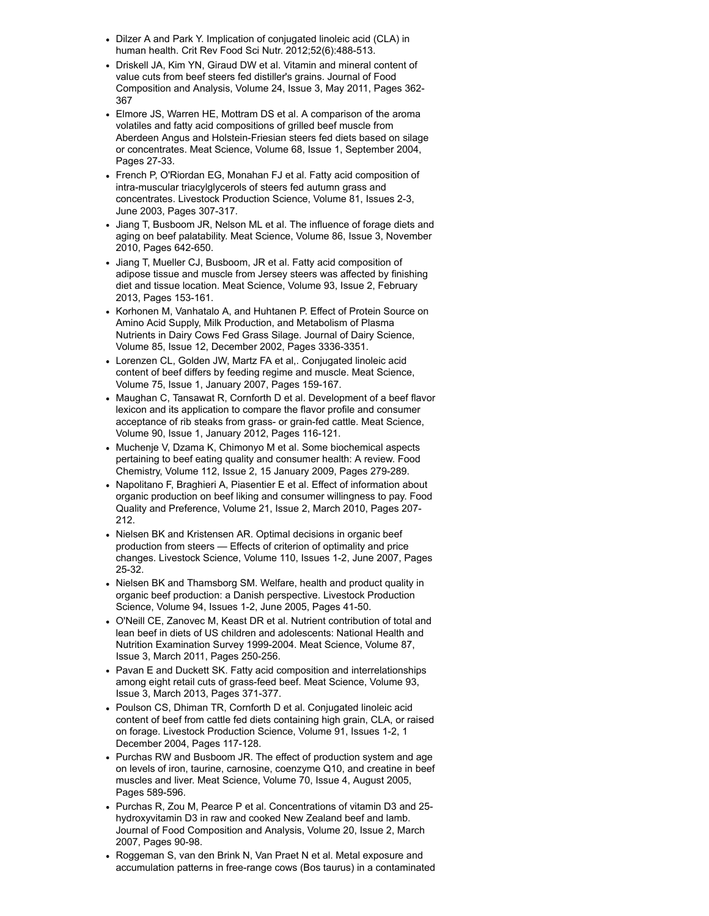- Dilzer A and Park Y. Implication of conjugated linoleic acid (CLA) in human health. Crit Rev Food Sci Nutr. 2012;52(6):488-513.
- Driskell JA, Kim YN, Giraud DW et al. Vitamin and mineral content of value cuts from beef steers fed distiller's grains. Journal of Food Composition and Analysis, Volume 24, Issue 3, May 2011, Pages 362- 367
- Elmore JS, Warren HE, Mottram DS et al. A comparison of the aroma volatiles and fatty acid compositions of grilled beef muscle from Aberdeen Angus and Holstein-Friesian steers fed diets based on silage or concentrates. Meat Science, Volume 68, Issue 1, September 2004, Pages 27-33.
- French P, O'Riordan EG, Monahan FJ et al. Fatty acid composition of intra-muscular triacylglycerols of steers fed autumn grass and concentrates. Livestock Production Science, Volume 81, Issues 2-3, June 2003, Pages 307-317.
- Jiang T, Busboom JR, Nelson ML et al. The influence of forage diets and aging on beef palatability. Meat Science, Volume 86, Issue 3, November 2010, Pages 642-650.
- Jiang T, Mueller CJ, Busboom, JR et al. Fatty acid composition of adipose tissue and muscle from Jersey steers was affected by finishing diet and tissue location. Meat Science, Volume 93, Issue 2, February 2013, Pages 153-161.
- Korhonen M, Vanhatalo A, and Huhtanen P. Effect of Protein Source on Amino Acid Supply, Milk Production, and Metabolism of Plasma Nutrients in Dairy Cows Fed Grass Silage. Journal of Dairy Science, Volume 85, Issue 12, December 2002, Pages 3336-3351.
- Lorenzen CL, Golden JW, Martz FA et al,. Conjugated linoleic acid content of beef differs by feeding regime and muscle. Meat Science, Volume 75, Issue 1, January 2007, Pages 159-167.
- Maughan C, Tansawat R, Cornforth D et al. Development of a beef flavor lexicon and its application to compare the flavor profile and consumer acceptance of rib steaks from grass- or grain-fed cattle. Meat Science, Volume 90, Issue 1, January 2012, Pages 116-121.
- Muchenje V, Dzama K, Chimonyo M et al. Some biochemical aspects pertaining to beef eating quality and consumer health: A review. Food Chemistry, Volume 112, Issue 2, 15 January 2009, Pages 279-289.
- Napolitano F, Braghieri A, Piasentier E et al. Effect of information about organic production on beef liking and consumer willingness to pay. Food Quality and Preference, Volume 21, Issue 2, March 2010, Pages 207- 212.
- Nielsen BK and Kristensen AR. Optimal decisions in organic beef production from steers — Effects of criterion of optimality and price changes. Livestock Science, Volume 110, Issues 1-2, June 2007, Pages 25-32.
- Nielsen BK and Thamsborg SM, Welfare, health and product quality in organic beef production: a Danish perspective. Livestock Production Science, Volume 94, Issues 1-2, June 2005, Pages 41-50.
- O'Neill CE, Zanovec M, Keast DR et al. Nutrient contribution of total and lean beef in diets of US children and adolescents: National Health and Nutrition Examination Survey 1999-2004. Meat Science, Volume 87, Issue 3, March 2011, Pages 250-256.
- Pavan E and Duckett SK. Fatty acid composition and interrelationships among eight retail cuts of grass-feed beef. Meat Science, Volume 93, Issue 3, March 2013, Pages 371-377.
- Poulson CS, Dhiman TR, Cornforth D et al. Conjugated linoleic acid content of beef from cattle fed diets containing high grain, CLA, or raised on forage. Livestock Production Science, Volume 91, Issues 1-2, 1 December 2004, Pages 117-128.
- Purchas RW and Busboom JR. The effect of production system and age on levels of iron, taurine, carnosine, coenzyme Q10, and creatine in beef muscles and liver. Meat Science, Volume 70, Issue 4, August 2005, Pages 589-596.
- Purchas R, Zou M, Pearce P et al. Concentrations of vitamin D3 and 25 hydroxyvitamin D3 in raw and cooked New Zealand beef and lamb. Journal of Food Composition and Analysis, Volume 20, Issue 2, March 2007, Pages 90-98.
- Roggeman S, van den Brink N, Van Praet N et al. Metal exposure and accumulation patterns in free-range cows (Bos taurus) in a contaminated